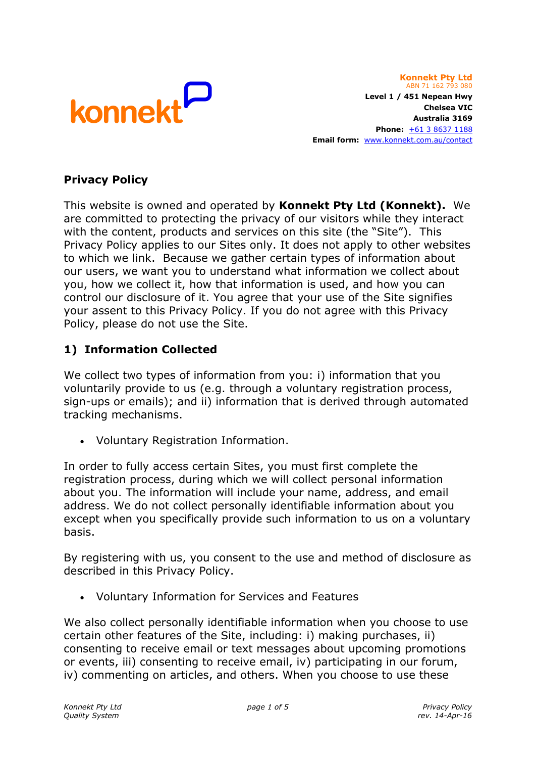

**Konnekt Pty Ltd** ABN 71 162 793 080 **Level 1 / 451 Nepean Hwy Chelsea VIC Australia 3169 Phone:** [+61 3](tel:+61386371188) 8637 1188 **Email form:** <www.konnekt.com.au/contact>

## **Privacy Policy**

This website is owned and operated by **Konnekt Pty Ltd (Konnekt).** We are committed to protecting the privacy of our visitors while they interact with the content, products and services on this site (the "Site"). This Privacy Policy applies to our Sites only. It does not apply to other websites to which we link. Because we gather certain types of information about our users, we want you to understand what information we collect about you, how we collect it, how that information is used, and how you can control our disclosure of it. You agree that your use of the Site signifies your assent to this Privacy Policy. If you do not agree with this Privacy Policy, please do not use the Site.

## **1) Information Collected**

We collect two types of information from you: i) information that you voluntarily provide to us (e.g. through a voluntary registration process, sign-ups or emails); and ii) information that is derived through automated tracking mechanisms.

Voluntary Registration Information.

In order to fully access certain Sites, you must first complete the registration process, during which we will collect personal information about you. The information will include your name, address, and email address. We do not collect personally identifiable information about you except when you specifically provide such information to us on a voluntary basis.

By registering with us, you consent to the use and method of disclosure as described in this Privacy Policy.

Voluntary Information for Services and Features

We also collect personally identifiable information when you choose to use certain other features of the Site, including: i) making purchases, ii) consenting to receive email or text messages about upcoming promotions or events, iii) consenting to receive email, iv) participating in our forum, iv) commenting on articles, and others. When you choose to use these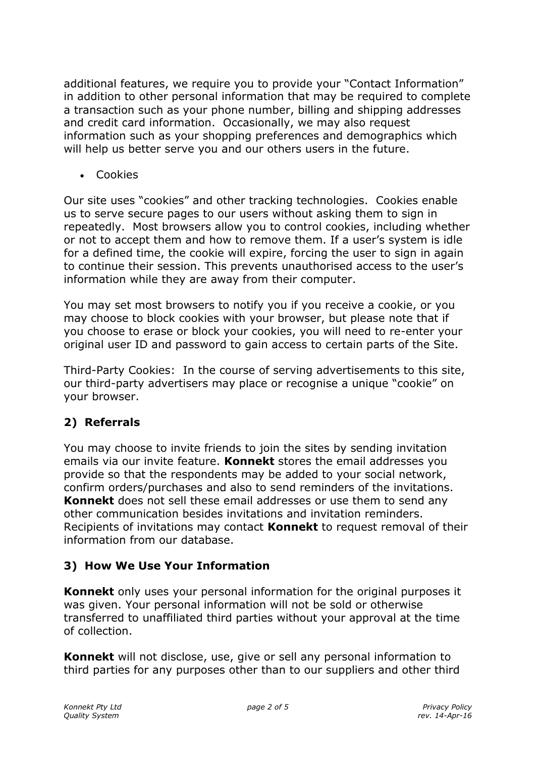additional features, we require you to provide your "Contact Information" in addition to other personal information that may be required to complete a transaction such as your phone number, billing and shipping addresses and credit card information. Occasionally, we may also request information such as your shopping preferences and demographics which will help us better serve you and our others users in the future.

Cookies

Our site uses "cookies" and other tracking technologies. Cookies enable us to serve secure pages to our users without asking them to sign in repeatedly. Most browsers allow you to control cookies, including whether or not to accept them and how to remove them. If a user's system is idle for a defined time, the cookie will expire, forcing the user to sign in again to continue their session. This prevents unauthorised access to the user's information while they are away from their computer.

You may set most browsers to notify you if you receive a cookie, or you may choose to block cookies with your browser, but please note that if you choose to erase or block your cookies, you will need to re-enter your original user ID and password to gain access to certain parts of the Site.

Third-Party Cookies: In the course of serving advertisements to this site, our third-party advertisers may place or recognise a unique "cookie" on your browser.

# **2) Referrals**

You may choose to invite friends to join the sites by sending invitation emails via our invite feature. **Konnekt** stores the email addresses you provide so that the respondents may be added to your social network, confirm orders/purchases and also to send reminders of the invitations. **Konnekt** does not sell these email addresses or use them to send any other communication besides invitations and invitation reminders. Recipients of invitations may contact **Konnekt** to request removal of their information from our database.

# **3) How We Use Your Information**

**Konnekt** only uses your personal information for the original purposes it was given. Your personal information will not be sold or otherwise transferred to unaffiliated third parties without your approval at the time of collection.

**Konnekt** will not disclose, use, give or sell any personal information to third parties for any purposes other than to our suppliers and other third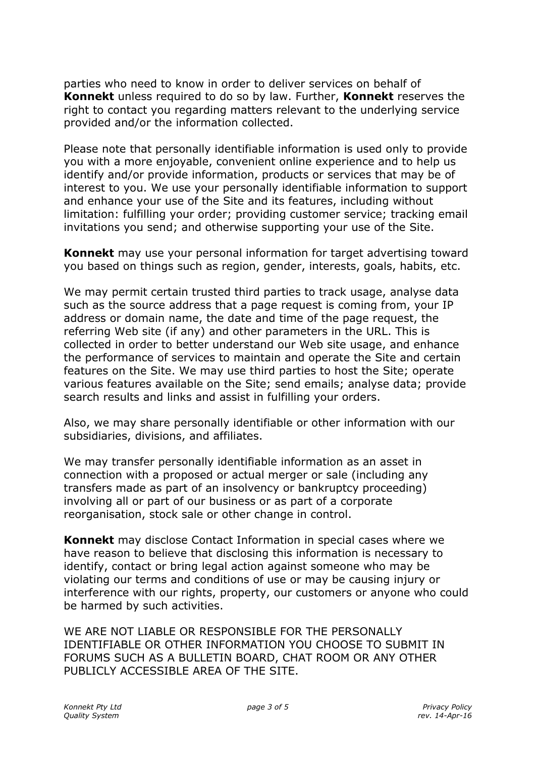parties who need to know in order to deliver services on behalf of **Konnekt** unless required to do so by law. Further, **Konnekt** reserves the right to contact you regarding matters relevant to the underlying service provided and/or the information collected.

Please note that personally identifiable information is used only to provide you with a more enjoyable, convenient online experience and to help us identify and/or provide information, products or services that may be of interest to you. We use your personally identifiable information to support and enhance your use of the Site and its features, including without limitation: fulfilling your order; providing customer service; tracking email invitations you send; and otherwise supporting your use of the Site.

**Konnekt** may use your personal information for target advertising toward you based on things such as region, gender, interests, goals, habits, etc.

We may permit certain trusted third parties to track usage, analyse data such as the source address that a page request is coming from, your IP address or domain name, the date and time of the page request, the referring Web site (if any) and other parameters in the URL. This is collected in order to better understand our Web site usage, and enhance the performance of services to maintain and operate the Site and certain features on the Site. We may use third parties to host the Site; operate various features available on the Site; send emails; analyse data; provide search results and links and assist in fulfilling your orders.

Also, we may share personally identifiable or other information with our subsidiaries, divisions, and affiliates.

We may transfer personally identifiable information as an asset in connection with a proposed or actual merger or sale (including any transfers made as part of an insolvency or bankruptcy proceeding) involving all or part of our business or as part of a corporate reorganisation, stock sale or other change in control.

**Konnekt** may disclose Contact Information in special cases where we have reason to believe that disclosing this information is necessary to identify, contact or bring legal action against someone who may be violating our terms and conditions of use or may be causing injury or interference with our rights, property, our customers or anyone who could be harmed by such activities.

WE ARE NOT LIABLE OR RESPONSIBLE FOR THE PERSONALLY IDENTIFIABLE OR OTHER INFORMATION YOU CHOOSE TO SUBMIT IN FORUMS SUCH AS A BULLETIN BOARD, CHAT ROOM OR ANY OTHER PUBLICLY ACCESSIBLE AREA OF THE SITE.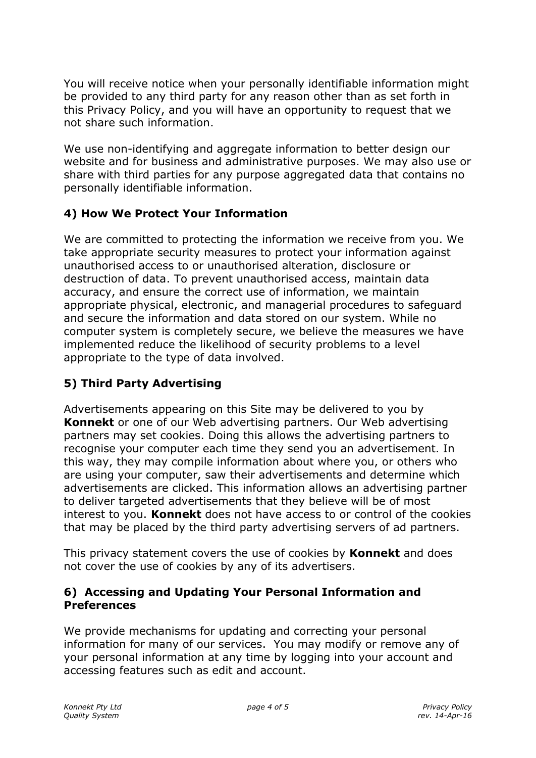You will receive notice when your personally identifiable information might be provided to any third party for any reason other than as set forth in this Privacy Policy, and you will have an opportunity to request that we not share such information.

We use non-identifying and aggregate information to better design our website and for business and administrative purposes. We may also use or share with third parties for any purpose aggregated data that contains no personally identifiable information.

# **4) How We Protect Your Information**

We are committed to protecting the information we receive from you. We take appropriate security measures to protect your information against unauthorised access to or unauthorised alteration, disclosure or destruction of data. To prevent unauthorised access, maintain data accuracy, and ensure the correct use of information, we maintain appropriate physical, electronic, and managerial procedures to safeguard and secure the information and data stored on our system. While no computer system is completely secure, we believe the measures we have implemented reduce the likelihood of security problems to a level appropriate to the type of data involved.

# **5) Third Party Advertising**

Advertisements appearing on this Site may be delivered to you by **Konnekt** or one of our Web advertising partners. Our Web advertising partners may set cookies. Doing this allows the advertising partners to recognise your computer each time they send you an advertisement. In this way, they may compile information about where you, or others who are using your computer, saw their advertisements and determine which advertisements are clicked. This information allows an advertising partner to deliver targeted advertisements that they believe will be of most interest to you. **Konnekt** does not have access to or control of the cookies that may be placed by the third party advertising servers of ad partners.

This privacy statement covers the use of cookies by **Konnekt** and does not cover the use of cookies by any of its advertisers.

## **6) Accessing and Updating Your Personal Information and Preferences**

We provide mechanisms for updating and correcting your personal information for many of our services. You may modify or remove any of your personal information at any time by logging into your account and accessing features such as edit and account.